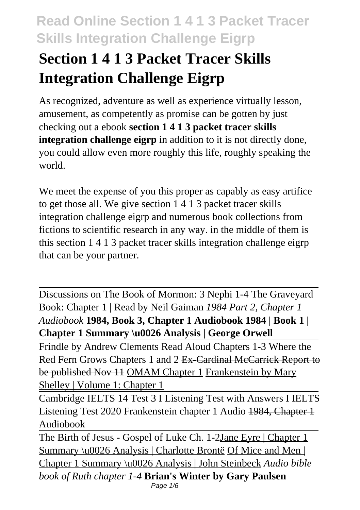# **Section 1 4 1 3 Packet Tracer Skills Integration Challenge Eigrp**

As recognized, adventure as well as experience virtually lesson, amusement, as competently as promise can be gotten by just checking out a ebook **section 1 4 1 3 packet tracer skills integration challenge eigrp** in addition to it is not directly done, you could allow even more roughly this life, roughly speaking the world.

We meet the expense of you this proper as capably as easy artifice to get those all. We give section 1 4 1 3 packet tracer skills integration challenge eigrp and numerous book collections from fictions to scientific research in any way. in the middle of them is this section 1 4 1 3 packet tracer skills integration challenge eigrp that can be your partner.

Discussions on The Book of Mormon: 3 Nephi 1-4 The Graveyard Book: Chapter 1 | Read by Neil Gaiman *1984 Part 2, Chapter 1 Audiobook* **1984, Book 3, Chapter 1 Audiobook 1984 | Book 1 | Chapter 1 Summary \u0026 Analysis | George Orwell**

Frindle by Andrew Clements Read Aloud Chapters 1-3 Where the Red Fern Grows Chapters 1 and 2 Ex-Cardinal McCarrick Report to be published Nov 11 OMAM Chapter 1 Frankenstein by Mary Shelley | Volume 1: Chapter 1

Cambridge IELTS 14 Test 3 I Listening Test with Answers I IELTS Listening Test 2020 Frankenstein chapter 1 Audio 1984, Chapter 1 Audiobook

The Birth of Jesus - Gospel of Luke Ch. 1-2Jane Eyre | Chapter 1 Summary \u0026 Analysis | Charlotte Brontë Of Mice and Men | Chapter 1 Summary \u0026 Analysis | John Steinbeck *Audio bible book of Ruth chapter 1-4* **Brian's Winter by Gary Paulsen** Page 1/6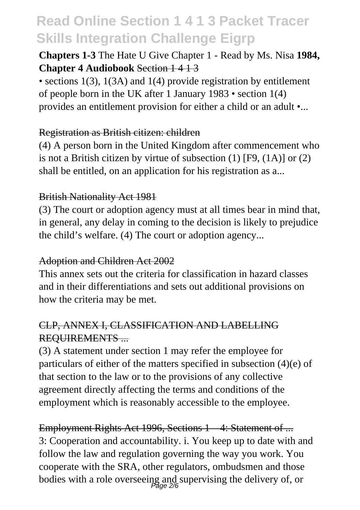**Chapters 1-3** The Hate U Give Chapter 1 - Read by Ms. Nisa **1984, Chapter 4 Audiobook** Section 1 4 1 3

• sections 1(3), 1(3A) and 1(4) provide registration by entitlement of people born in the UK after 1 January 1983 • section 1(4) provides an entitlement provision for either a child or an adult •...

#### Registration as British citizen: children

(4) A person born in the United Kingdom after commencement who is not a British citizen by virtue of subsection (1) [F9, (1A)] or (2) shall be entitled, on an application for his registration as a...

#### British Nationality Act 1981

(3) The court or adoption agency must at all times bear in mind that, in general, any delay in coming to the decision is likely to prejudice the child's welfare. (4) The court or adoption agency...

#### Adoption and Children Act 2002

This annex sets out the criteria for classification in hazard classes and in their differentiations and sets out additional provisions on how the criteria may be met.

### CLP, ANNEX I, CLASSIFICATION AND LABELLING REQUIREMENTS ...

(3) A statement under section 1 may refer the employee for particulars of either of the matters specified in subsection (4)(e) of that section to the law or to the provisions of any collective agreement directly affecting the terms and conditions of the employment which is reasonably accessible to the employee.

Employment Rights Act 1996, Sections 1 – 4: Statement of ... 3: Cooperation and accountability. i. You keep up to date with and follow the law and regulation governing the way you work. You cooperate with the SRA, other regulators, ombudsmen and those bodies with a role overseeing and supervising the delivery of, or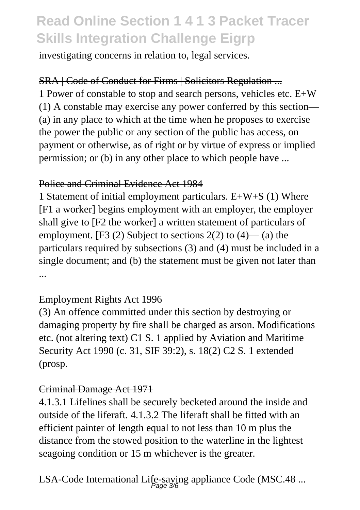investigating concerns in relation to, legal services.

### SRA | Code of Conduct for Firms | Solicitors Regulation ...

1 Power of constable to stop and search persons, vehicles etc. E+W (1) A constable may exercise any power conferred by this section— (a) in any place to which at the time when he proposes to exercise the power the public or any section of the public has access, on payment or otherwise, as of right or by virtue of express or implied permission; or (b) in any other place to which people have ...

#### Police and Criminal Evidence Act 1984

1 Statement of initial employment particulars. E+W+S (1) Where [F1 a worker] begins employment with an employer, the employer shall give to [F2 the worker] a written statement of particulars of employment. [F3  $(2)$  Subject to sections  $2(2)$  to  $(4)$ — $(a)$  the particulars required by subsections (3) and (4) must be included in a single document; and (b) the statement must be given not later than ...

### Employment Rights Act 1996

(3) An offence committed under this section by destroying or damaging property by fire shall be charged as arson. Modifications etc. (not altering text) C1 S. 1 applied by Aviation and Maritime Security Act 1990 (c. 31, SIF 39:2), s. 18(2) C2 S. 1 extended (prosp.

### Criminal Damage Act 1971

4.1.3.1 Lifelines shall be securely becketed around the inside and outside of the liferaft. 4.1.3.2 The liferaft shall be fitted with an efficient painter of length equal to not less than 10 m plus the distance from the stowed position to the waterline in the lightest seagoing condition or 15 m whichever is the greater.

# LSA-Code International Life-saving appliance Code (MSC.48 ... Page 3/6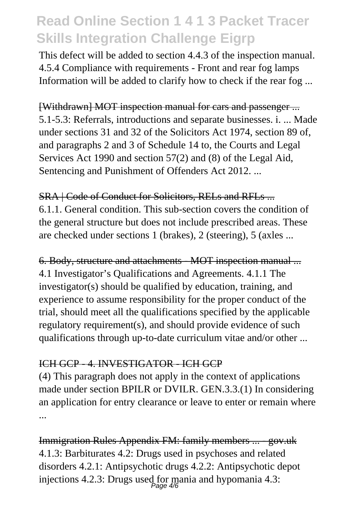This defect will be added to section 4.4.3 of the inspection manual. 4.5.4 Compliance with requirements - Front and rear fog lamps Information will be added to clarify how to check if the rear fog ...

#### [Withdrawn] MOT inspection manual for cars and passenger ...

5.1-5.3: Referrals, introductions and separate businesses. i. ... Made under sections 31 and 32 of the Solicitors Act 1974, section 89 of, and paragraphs 2 and 3 of Schedule 14 to, the Courts and Legal Services Act 1990 and section 57(2) and (8) of the Legal Aid, Sentencing and Punishment of Offenders Act 2012. ...

### SRA | Code of Conduct for Solicitors, RELs and RFLs ... 6.1.1. General condition. This sub-section covers the condition of the general structure but does not include prescribed areas. These are checked under sections 1 (brakes), 2 (steering), 5 (axles ...

6. Body, structure and attachments - MOT inspection manual ... 4.1 Investigator's Qualifications and Agreements. 4.1.1 The investigator(s) should be qualified by education, training, and experience to assume responsibility for the proper conduct of the trial, should meet all the qualifications specified by the applicable regulatory requirement(s), and should provide evidence of such qualifications through up-to-date curriculum vitae and/or other ...

### ICH GCP - 4. INVESTIGATOR - ICH GCP

(4) This paragraph does not apply in the context of applications made under section BPILR or DVILR. GEN.3.3.(1) In considering an application for entry clearance or leave to enter or remain where ...

Immigration Rules Appendix FM: family members ... - gov.uk 4.1.3: Barbiturates 4.2: Drugs used in psychoses and related disorders 4.2.1: Antipsychotic drugs 4.2.2: Antipsychotic depot injections 4.2.3: Drugs used for mania and hypomania 4.3: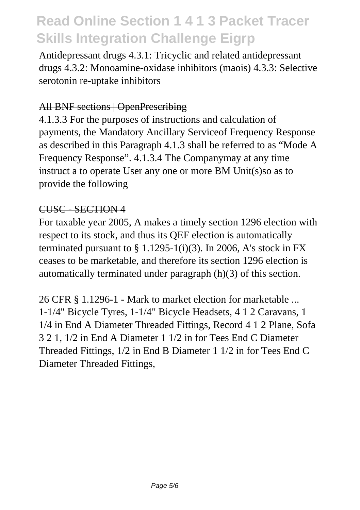Antidepressant drugs 4.3.1: Tricyclic and related antidepressant drugs 4.3.2: Monoamine-oxidase inhibitors (maois) 4.3.3: Selective serotonin re-uptake inhibitors

#### All BNF sections | OpenPrescribing

4.1.3.3 For the purposes of instructions and calculation of payments, the Mandatory Ancillary Serviceof Frequency Response as described in this Paragraph 4.1.3 shall be referred to as "Mode A Frequency Response". 4.1.3.4 The Companymay at any time instruct a to operate User any one or more BM Unit(s)so as to provide the following

#### CUSC - SECTION 4

For taxable year 2005, A makes a timely section 1296 election with respect to its stock, and thus its QEF election is automatically terminated pursuant to  $\S 1.1295-1(i)(3)$ . In 2006, A's stock in FX ceases to be marketable, and therefore its section 1296 election is automatically terminated under paragraph (h)(3) of this section.

26 CFR § 1.1296-1 - Mark to market election for marketable ... 1-1/4" Bicycle Tyres, 1-1/4" Bicycle Headsets, 4 1 2 Caravans, 1 1/4 in End A Diameter Threaded Fittings, Record 4 1 2 Plane, Sofa 3 2 1, 1/2 in End A Diameter 1 1/2 in for Tees End C Diameter Threaded Fittings, 1/2 in End B Diameter 1 1/2 in for Tees End C Diameter Threaded Fittings,